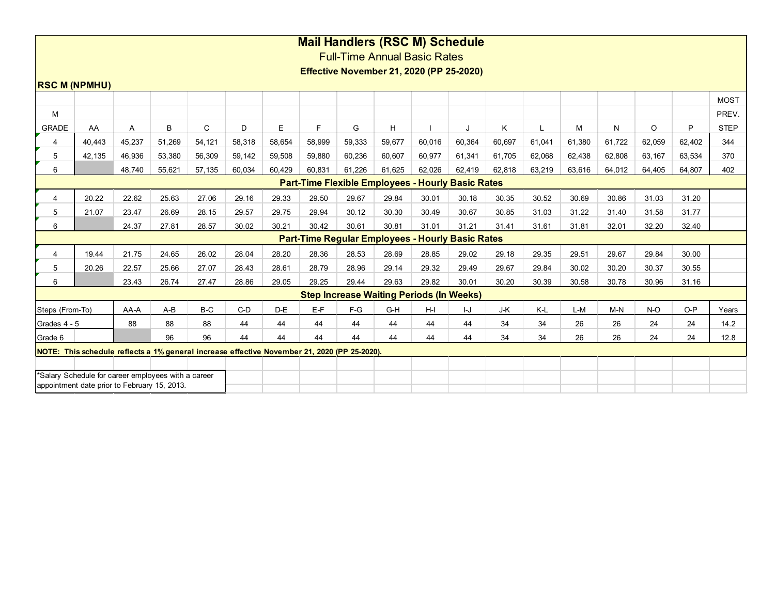| <b>Mail Handlers (RSC M) Schedule</b>                                                        |                                                          |        |        |        |        |        |        |                                                         |        |        |        |        |        |        |        |        |        |                      |
|----------------------------------------------------------------------------------------------|----------------------------------------------------------|--------|--------|--------|--------|--------|--------|---------------------------------------------------------|--------|--------|--------|--------|--------|--------|--------|--------|--------|----------------------|
| <b>Full-Time Annual Basic Rates</b>                                                          |                                                          |        |        |        |        |        |        |                                                         |        |        |        |        |        |        |        |        |        |                      |
| <b>Effective November 21, 2020 (PP 25-2020)</b>                                              |                                                          |        |        |        |        |        |        |                                                         |        |        |        |        |        |        |        |        |        |                      |
| <b>RSC M (NPMHU)</b>                                                                         |                                                          |        |        |        |        |        |        |                                                         |        |        |        |        |        |        |        |        |        |                      |
|                                                                                              |                                                          |        |        |        |        |        |        |                                                         |        |        |        |        |        |        |        |        |        |                      |
| M                                                                                            |                                                          |        |        |        |        |        |        |                                                         |        |        |        |        |        |        |        |        |        | <b>MOST</b><br>PREV. |
|                                                                                              |                                                          |        |        |        |        |        | F.     |                                                         |        |        |        |        |        |        |        |        | P      |                      |
| <b>GRADE</b>                                                                                 | AA                                                       | Α      | B      | C      | D      | E      |        | G                                                       | H.     |        |        | K      |        | M      | N      | O      |        | <b>STEP</b>          |
| 4                                                                                            | 40,443                                                   | 45,237 | 51,269 | 54,121 | 58,318 | 58,654 | 58,999 | 59,333                                                  | 59,677 | 60,016 | 60,364 | 60,697 | 61,041 | 61,380 | 61,722 | 62,059 | 62,402 | 344                  |
| 5                                                                                            | 42,135                                                   | 46,936 | 53,380 | 56,309 | 59,142 | 59,508 | 59,880 | 60,236                                                  | 60,607 | 60,977 | 61,341 | 61,705 | 62,068 | 62,438 | 62,808 | 63,167 | 63,534 | 370                  |
| 6                                                                                            |                                                          | 48.740 | 55,621 | 57,135 | 60.034 | 60.429 | 60.831 | 61.226                                                  | 61,625 | 62,026 | 62,419 | 62,818 | 63,219 | 63,616 | 64,012 | 64,405 | 64.807 | 402                  |
|                                                                                              | <b>Part-Time Flexible Employees - Hourly Basic Rates</b> |        |        |        |        |        |        |                                                         |        |        |        |        |        |        |        |        |        |                      |
| 4                                                                                            | 20.22                                                    | 22.62  | 25.63  | 27.06  | 29.16  | 29.33  | 29.50  | 29.67                                                   | 29.84  | 30.01  | 30.18  | 30.35  | 30.52  | 30.69  | 30.86  | 31.03  | 31.20  |                      |
| 5                                                                                            | 21.07                                                    | 23.47  | 26.69  | 28.15  | 29.57  | 29.75  | 29.94  | 30.12                                                   | 30.30  | 30.49  | 30.67  | 30.85  | 31.03  | 31.22  | 31.40  | 31.58  | 31.77  |                      |
| 6                                                                                            |                                                          | 24.37  | 27.81  | 28.57  | 30.02  | 30.21  | 30.42  | 30.61                                                   | 30.81  | 31.01  | 31.21  | 31.41  | 31.61  | 31.81  | 32.01  | 32.20  | 32.40  |                      |
|                                                                                              |                                                          |        |        |        |        |        |        | <b>Part-Time Regular Employees - Hourly Basic Rates</b> |        |        |        |        |        |        |        |        |        |                      |
| 4                                                                                            | 19.44                                                    | 21.75  | 24.65  | 26.02  | 28.04  | 28.20  | 28.36  | 28.53                                                   | 28.69  | 28.85  | 29.02  | 29.18  | 29.35  | 29.51  | 29.67  | 29.84  | 30.00  |                      |
| 5                                                                                            | 20.26                                                    | 22.57  | 25.66  | 27.07  | 28.43  | 28.61  | 28.79  | 28.96                                                   | 29.14  | 29.32  | 29.49  | 29.67  | 29.84  | 30.02  | 30.20  | 30.37  | 30.55  |                      |
| 6                                                                                            |                                                          | 23.43  | 26.74  | 27.47  | 28.86  | 29.05  | 29.25  | 29.44                                                   | 29.63  | 29.82  | 30.01  | 30.20  | 30.39  | 30.58  | 30.78  | 30.96  | 31.16  |                      |
|                                                                                              |                                                          |        |        |        |        |        |        | <b>Step Increase Waiting Periods (In Weeks)</b>         |        |        |        |        |        |        |        |        |        |                      |
| Steps (From-To)                                                                              |                                                          | AA-A   | $A-B$  | B-C    | $C-D$  | D-E    | $E-F$  | $F-G$                                                   | G-H    | H-I    | IJ     | J-K    | K-L    | L-M    | $M-N$  | $N-O$  | $O-P$  | Years                |
| Grades 4 - 5                                                                                 |                                                          | 88     | 88     | 88     | 44     | 44     | 44     | 44                                                      | 44     | 44     | 44     | 34     | 34     | 26     | 26     | 24     | 24     | 14.2                 |
| Grade 6                                                                                      |                                                          |        | 96     | 96     | 44     | 44     | 44     | 44                                                      | 44     | 44     | 44     | 34     | 34     | 26     | 26     | 24     | 24     | 12.8                 |
| NOTE: This schedule reflects a 1% general increase effective November 21, 2020 (PP 25-2020). |                                                          |        |        |        |        |        |        |                                                         |        |        |        |        |        |        |        |        |        |                      |
|                                                                                              |                                                          |        |        |        |        |        |        |                                                         |        |        |        |        |        |        |        |        |        |                      |
| *Salary Schedule for career employees with a career                                          |                                                          |        |        |        |        |        |        |                                                         |        |        |        |        |        |        |        |        |        |                      |
|                                                                                              | appointment date prior to February 15, 2013.             |        |        |        |        |        |        |                                                         |        |        |        |        |        |        |        |        |        |                      |